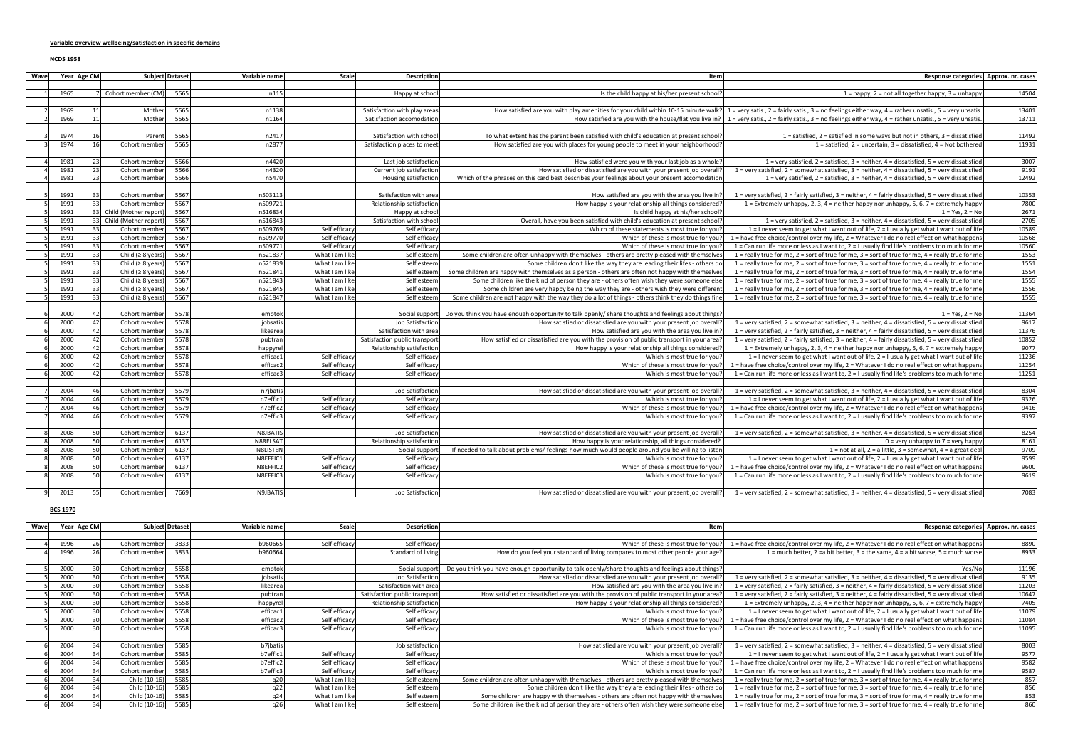## **NCDS 1958**

| Wave           |              | Year Age CM | Subject Dataset                |              | Variable name               | Scale          | <b>Description</b>             | Item                                                                                                                                                                   | Response categories Approx. nr. cases                                                                                                                                                         |               |
|----------------|--------------|-------------|--------------------------------|--------------|-----------------------------|----------------|--------------------------------|------------------------------------------------------------------------------------------------------------------------------------------------------------------------|-----------------------------------------------------------------------------------------------------------------------------------------------------------------------------------------------|---------------|
| 1              | 1965         |             | 7 Cohort member (CM)           | 5565         | n115                        |                | Happy at school                | Is the child happy at his/her present school?                                                                                                                          | $1 =$ happy, $2 =$ not all together happy, $3 =$ unhappy                                                                                                                                      | 14504         |
|                |              |             |                                |              |                             |                |                                |                                                                                                                                                                        |                                                                                                                                                                                               |               |
| 2              | 1969         | 11          | Mother                         | 5565         | n1138                       |                | Satisfaction with play areas   |                                                                                                                                                                        | How satisfied are you with play amenities for your child within 10-15 minute walk? 1 = very satis., 2 = fairly satis., 3 = no feelings either way, 4 = rather unsatis., 5 = very unsatis.     | 13401         |
| 2              | 1969         | 11          | Mother                         | 5565         | n1164                       |                | Satisfaction accomodation      |                                                                                                                                                                        | How satisfied are you with the house/flat you live in?   1 = very satis., 2 = fairly satis., 3 = no feelings either way, 4 = rather unsatis., 5 = very unsatis.                               | 13711         |
|                |              |             |                                |              |                             |                |                                |                                                                                                                                                                        |                                                                                                                                                                                               |               |
|                | 1974         | 16          | Parent                         | 5565         | n2417                       |                | Satisfaction with school       | To what extent has the parent been satisfied with child's education at present school?                                                                                 | 1 = satisfied, 2 = satisfied in some ways but not in others, 3 = dissatisfied                                                                                                                 | 11492         |
|                | 1974         | 16          | Cohort member                  | 5565         | n2877                       |                | Satisfaction places to meet    | How satisfied are you with places for young people to meet in your neighborhood?                                                                                       | 1 = satisfied, 2 = uncertain, 3 = dissatisfied, 4 = Not bothered                                                                                                                              | 11931         |
|                | 1981         | 23          | Cohort member                  | 5566         |                             |                |                                | How satisfied were you with your last job as a whole?                                                                                                                  | 1 = very satisfied, 2 = satisfied, 3 = neither, 4 = dissatisfied, 5 = very dissatisfied                                                                                                       | 3007          |
|                |              | 23          |                                | 5566         | n4420                       |                | Last job satisfaction          |                                                                                                                                                                        |                                                                                                                                                                                               |               |
| $\vert$        | 1981<br>1981 | 23          | Cohort member<br>Cohort member | 5566         | n4320<br>n5470              |                | Current job satisfaction       | How satisfied or dissatisfied are you with your present job overall?<br>Which of the phrases on this card best describes your feelings about your present accomodation | 1 = very satisfied, 2 = somewhat satisfied, 3 = neither, 4 = dissatisfied, 5 = very dissatisfied<br>1 = very satisfied, 2 = satisfied, 3 = neither, 4 = dissatisfied, 5 = very dissatisfied   | 9191<br>12492 |
|                |              |             |                                |              |                             |                | Housing satisfaction           |                                                                                                                                                                        |                                                                                                                                                                                               |               |
| .5 L           | 1991         | 33          | Cohort member                  | 5567         | n503113                     |                | Satisfaction with area         | How satisfied are you with the area you live in?                                                                                                                       | 1 = very satisfied, 2 = fairly satisfied, 3 = neither, 4 = fairly dissatisfied, 5 = very dissatisfied                                                                                         | 10353         |
| -51            | 1991         | 33          | Cohort member                  | 5567         | n509721                     |                | Relationship satisfaction      | How happy is your relationship all things considered?                                                                                                                  | 1 = Extremely unhappy, 2, 3, 4 = neither happy nor unhappy, 5, 6, 7 = extremely happy                                                                                                         | 7800          |
| 51             | 1991         |             | 33 Child (Mother report        | 5567         | n516834                     |                | Happy at school                | Is child happy at his/her school?                                                                                                                                      | $1 = Yes, 2 = No$                                                                                                                                                                             | 2671          |
| 5 <sup>1</sup> | 1991         |             | 33 Child (Mother report)       | 5567         | n516843                     |                | Satisfaction with school       | Overall, have you been satisfied with child's education at present school?                                                                                             | $1$ = very satisfied, $2$ = satisfied, $3$ = neither, $4$ = dissatisfied, $5$ = very dissatisfied                                                                                             | 2705          |
| - 5 I          | 1991         | 33          | Cohort member                  | 5567         | n509769                     | Self efficacy  | Self efficacy                  | Which of these statements is most true for you?                                                                                                                        | 1 = I never seem to get what I want out of life, $2 = 1$ usually get what I want out of life                                                                                                  | 10589         |
| .5 I           | 1991         | 33          | Cohort member                  | 5567         | n509770                     | Self efficacy  | Self efficacy                  | Which of these is most true for you?                                                                                                                                   | 1 = have free choice/control over my life, $2 =$ Whatever I do no real effect on what happens                                                                                                 | 10568         |
| -51            | 1991         | 33          | Cohort member                  | 5567         | n509771                     | Self efficacy  | Self efficacy                  | Which of these is most true for you?                                                                                                                                   | 1 = Can run life more or less as I want to, $2 = 1$ usually find life's problems too much for me                                                                                              | 10560         |
| 5 <sup>1</sup> | 1991         | 33          | Child ( $\geq 8$ years         | 5567         | n521837                     | What I am like | Self esteem                    | Some children are often unhappy with themselves - others are pretty pleased with themselves                                                                            | 1 = really true for me, 2 = sort of true for me, 3 = sort of true for me, 4 = really true for me                                                                                              | 1553          |
| 5 <sup>1</sup> | 1991         | 33          | Child ( $\geq 8$ years         | 5567         | n521839                     | What I am like | Self esteem                    | Some children don't like the way they are leading their lifes - others do                                                                                              | 1 = really true for me, 2 = sort of true for me, 3 = sort of true for me, 4 = really true for me                                                                                              | 1551          |
| .5 I           | 1991         | 33          | Child ( $\geq 8$ years         | 5567         | n521841                     | What I am like | Self esteem                    | Some children are happy with themselves as a person - others are often not happy with themselves                                                                       | 1 = really true for me, 2 = sort of true for me, 3 = sort of true for me, 4 = really true for me                                                                                              | 1554          |
| .5 I           | 1991         | 33          | Child ( $\geq 8$ years         | 5567         | n521843                     | What I am like | Self esteem                    | Some children like the kind of person they are - others often wish they were someone else                                                                              | 1 = really true for me, 2 = sort of true for me, 3 = sort of true for me, 4 = really true for me                                                                                              | 1555          |
| 51             | 1991         | 33          | Child ( $\geq 8$ years         | 5567         | n521845                     | What I am like | Self esteem                    | Some children are very happy being the way they are - others wish they were different                                                                                  | 1 = really true for me, 2 = sort of true for me, 3 = sort of true for me, 4 = really true for me                                                                                              | 1556          |
| 5 <sup>1</sup> | 1991         | 33          | Child ( $\geq 8$ years)        | 5567         | n521847                     | What I am like | Self esteem                    | Some children are not happy with the way they do a lot of things - others think they do things fine                                                                    | 1 = really true for me, 2 = sort of true for me, 3 = sort of true for me, 4 = really true for me                                                                                              | 1555          |
|                |              |             |                                |              |                             |                |                                |                                                                                                                                                                        |                                                                                                                                                                                               |               |
| 6 <sup>1</sup> | 2000         | 42          | Cohort member                  | 5578         | emotok                      |                |                                | Social support   Do you think you have enough opportunity to talk openly/ share thoughts and feelings about things?                                                    | $1 = Yes. 2 = No$                                                                                                                                                                             | 11364         |
|                | 2000         | 42          | Cohort member                  | 5578         | jobsatis                    |                | Job Satisfaction               | How satisfied or dissatisfied are you with your present job overall?                                                                                                   | 1 = very satisfied, 2 = somewhat satisfied, 3 = neither, 4 = dissatisfied, 5 = very dissatisfied                                                                                              | 9617          |
|                | 2000         | 42          | Cohort member                  | 5578         | likearea                    |                | Satisfaction with area         | How satisfied are you with the area you live in?                                                                                                                       | 1 = very satisfied, 2 = fairly satisfied, 3 = neither, 4 = fairly dissatisfied, 5 = very dissatisfied                                                                                         | 11376         |
| 61             | 2000         | 42          | Cohort member                  | 5578         | pubtran                     |                | Satisfaction public transport  | How satisfied or dissatisfied are you with the provision of public transport in your area?                                                                             | 1 = very satisfied, 2 = fairly satisfied, 3 = neither, 4 = fairly dissatisfied, 5 = very dissatisfied                                                                                         | 10852         |
| .61            | 2000         | 42          | Cohort member                  | 5578         | happyrel                    |                | Relationship satisfaction      | How happy is your relationship all things considered?                                                                                                                  | 1 = Extremely unhappy, 2, 3, 4 = neither happy nor unhappy, 5, 6, 7 = extremely happy                                                                                                         | 9077          |
| 6I             | 2000         | 42          | Cohort member                  | 5578         | efficac1                    | Self efficacy  | Self efficacy                  | Which is most true for you?                                                                                                                                            | 1 = I never seem to get what I want out of life, $2 = 1$ usually get what I want out of life                                                                                                  | 11236         |
| 61             | 2000         | 42          | Cohort member                  | 5578         | efficac2                    | Self efficacy  | Self efficacy                  | Which of these is most true for you?                                                                                                                                   | 1 = have free choice/control over my life, 2 = Whatever I do no real effect on what happens                                                                                                   | 11254         |
| 6 <sup>1</sup> | 2000         | 42          | Cohort member                  | 5578         | efficac3                    | Self efficacy  | Self efficacy                  | Which is most true for you?                                                                                                                                            | 1 = Can run life more or less as I want to, 2 = I usually find life's problems too much for me                                                                                                | 11251         |
|                |              |             |                                |              |                             |                |                                |                                                                                                                                                                        |                                                                                                                                                                                               |               |
| 7              | 2004         | 46          | Cohort member                  | 5579         | n7jbatis                    |                | Job Satisfaction               | How satisfied or dissatisfied are you with your present job overall?                                                                                                   | 1 = very satisfied, 2 = somewhat satisfied, 3 = neither, 4 = dissatisfied, 5 = very dissatisfied                                                                                              | 8304          |
| 7 <sup>1</sup> | 2004         | 46          | Cohort member                  | 5579         | n7effic1                    | Self efficacy  | Self efficacy                  | Which is most true for you?                                                                                                                                            | 1 = I never seem to get what I want out of life, $2 = 1$ usually get what I want out of life                                                                                                  | 9326          |
| 7 <sup>1</sup> | 2004         | 46          | Cohort member                  | 5579         | n7effic2                    | Self efficacy  | Self efficacy                  | Which of these is most true for you?                                                                                                                                   | 1 = have free choice/control over my life, 2 = Whatever I do no real effect on what happens                                                                                                   | 9416          |
| <b>7</b>       | 2004         | 46          | Cohort member                  | 5579         | n7effic3                    | Self efficacy  | Self efficacy                  | Which is most true for you?                                                                                                                                            | 1 = Can run life more or less as I want to, $2 = 1$ usually find life's problems too much for me                                                                                              | 9397          |
|                |              |             |                                |              |                             |                |                                |                                                                                                                                                                        |                                                                                                                                                                                               |               |
|                | 2008         | 50<br>50    | Cohort member<br>Cohort member | 6137<br>6137 | <b>N8JBATIS</b><br>N8RELSAT |                | Job Satisfaction               | How satisfied or dissatisfied are you with your present job overall?                                                                                                   | 1 = very satisfied, 2 = somewhat satisfied, 3 = neither, 4 = dissatisfied, 5 = very dissatisfied                                                                                              | 8254          |
|                | 2008         | 50          |                                | 6137         |                             |                | Relationship satisfaction      | How happy is your relationship, all things considered?                                                                                                                 | $0 =$ very unhappy to $7 =$ very happy                                                                                                                                                        | 8161          |
|                | 2008         | 50          | Cohort member                  | 6137         | N8LISTEN                    | Self efficacy  | Social support                 | If needed to talk about problems/ feelings how much would people around you be willing to listen                                                                       | 1 = not at all, 2 = a little, 3 = somewhat, 4 = a great deal                                                                                                                                  | 9709<br>9599  |
|                | 2008<br>2008 | 50          | Cohort member<br>Cohort member | 6137         | N8EFFIC1<br>N8EFFIC2        | Self efficacy  | Self efficacy<br>Self efficacy | Which is most true for you?<br>Which of these is most true for you?                                                                                                    | 1 = I never seem to get what I want out of life, $2 = 1$ usually get what I want out of life<br>1 = have free choice/control over my life, $2 =$ Whatever I do no real effect on what happens | 9600          |
|                | 2008         | 50          | Cohort member                  | 6137         | N8EFFIC3                    | Self efficacy  | Self efficacy                  | Which is most true for you?                                                                                                                                            | 1 = Can run life more or less as I want to, $2 = 1$ usually find life's problems too much for me                                                                                              | 9619          |
|                |              |             |                                |              |                             |                |                                |                                                                                                                                                                        |                                                                                                                                                                                               |               |
|                | 2013         | 55          | Cohort member                  | 7669         | N9JBATIS                    |                | Job Satisfaction               |                                                                                                                                                                        | How satisfied or dissatisfied are you with your present job overall?   1 = very satisfied, 2 = somewhat satisfied, 3 = neither, 4 = dissatisfied, 5 = very dissatisfied                       | 7083          |
|                |              |             |                                |              |                             |                |                                |                                                                                                                                                                        |                                                                                                                                                                                               |               |

**BCS 1970**

| Wave |      | Year Age CM     |               | Subject Dataset | Variable name | Scale          | <b>Description</b>            | lteml                                                                                              | Response categories Approx. nr. cases                                                                     |       |
|------|------|-----------------|---------------|-----------------|---------------|----------------|-------------------------------|----------------------------------------------------------------------------------------------------|-----------------------------------------------------------------------------------------------------------|-------|
|      |      |                 |               |                 |               |                |                               |                                                                                                    |                                                                                                           |       |
|      | 1996 | 26              | Cohort member | 3833            | b960665       | Self efficacy  | Self efficacy                 | Which of these is most true for you?                                                               | 1 = have free choice/control over my life, 2 = Whatever I do no real effect on what happens               | 8890  |
|      | 1996 |                 | Cohort member | 3833            | b960664       |                | Standard of living            | How do you feel your standard of living compares to most other people your age?                    | 1 = much better, 2 = a bit better, 3 = the same, 4 = a bit worse, 5 = much worse                          | 8933  |
|      |      |                 |               |                 |               |                |                               |                                                                                                    |                                                                                                           |       |
|      | 2000 |                 | Cohort member | 5558            | emotok        |                | Social support                | [?Do you think you have enough opportunity to talk openly/share thoughts and feelings about things | Yes/Nol                                                                                                   | 11196 |
|      | 2000 |                 | Cohort member | 5558            | jobsatis      |                | <b>Job Satisfaction</b>       | How satisfied or dissatisfied are you with your present job overall                                | [1] = very satisfied, 2 = somewhat satisfied, 3 = neither, 4 = dissatisfied, 5 = very dissatisfied        | 9135  |
|      | 2000 |                 | Cohort member | 5558            | likearea      |                | Satisfaction with area        | How satisfied are you with the area you live in                                                    | [1] the very satisfied, 2 = fairly satisfied, 3 = neither, 4 = fairly dissatisfied, 5 = very dissatisfied | 11203 |
|      | 2000 |                 | Cohort member | 5558            | pubtran       |                | Satisfaction public transport | How satisfied or dissatisfied are you with the provision of public transport in your area?         | [1] = very satisfied, 2 = fairly satisfied, 3 = neither, 4 = fairly dissatisfied, 5 = very dissatisfied   | 10647 |
|      | 2000 |                 | Cohort member | 5558            | happyrel      |                | Relationship satisfaction     | How happy is your relationship all things considered?                                              | 1 = Extremely unhappy, 2, 3, 4 = neither happy nor unhappy, 5, 6, 7 = extremely happy                     | 7405  |
|      | 2000 |                 | Cohort member | 5558            | efficac1      | Self efficacy  | Self efficacy                 | Which is most true for you?                                                                        | 1 = I never seem to get what I want out of life, $2 = 1$ usually get what I want out of life              | 11079 |
|      | 2000 |                 | Cohort member | 5558            | efficac2      | Self efficacy  | Self efficacy                 | Which of these is most true for you?                                                               | 1 = have free choice/control over my life, 2 = Whatever I do no real effect on what happens               | 11084 |
|      | 2000 |                 | Cohort member | 5558            | efficac3      | Self efficacy  | Self efficacy                 | Which is most true for you                                                                         | 1 = Can run life more or less as I want to, 2 = I usually find life's problems too much for me            | 11095 |
|      |      |                 |               |                 |               |                |                               |                                                                                                    |                                                                                                           |       |
|      | 2004 |                 | Cohort member | 5585            | b7jbatis      |                | Job satisfaction              | How satisfied are you with your present job overall?                                               | [ = very satisfied, 2 = somewhat satisfied, 3 = neither, 4 = dissatisfied, 5 = very dissatisfied          | 8003  |
|      | 2004 |                 | Cohort member | 5585            | b7effic1      | Self efficacy  | Self efficacy                 | Which is most true for you?                                                                        | 1 = I never seem to get what I want out of life, $2 = 1$ usually get what I want out of life              | 9577  |
|      | 2004 |                 | Cohort member | 5585            | b7effic2      | Self efficacy  | Self efficacy                 | Which of these is most true for you?                                                               | = have free choice/control over my life, 2 = Whatever I do no real effect on what happens                 | 9582  |
|      | 2004 |                 | Cohort member | 5585            | b7effic3      | Self efficacy  | Self efficacy                 | Which is most true for you?                                                                        | 1 = Can run life more or less as I want to, 2 = I usually find life's problems too much for me            | 9587  |
|      | 2004 |                 | Child (10-16) | 5585            | q20           | What I am like | Self esteem                   | Some children are often unhappy with themselves - others are pretty pleased with themselves        | 1 = really true for me, 2 = sort of true for me, 3 = sort of true for me, 4 = really true for me          | 857   |
|      | 2004 |                 | Child (10-16) | 5585            | q22           | What I am like | Self esteem                   | Some children don't like the way they are leading their lifes - others do                          | 1 = really true for me, 2 = sort of true for me, 3 = sort of true for me, 4 = really true for me          | 856   |
|      | 2004 |                 | Child (10-16) | 5585            | q24           | What I am like | Self esteem                   | Some children are happy with themselves - others are often not happy with themselves               | 1 = really true for me, 2 = sort of true for me, 3 = sort of true for me, 4 = really true for me          | 853   |
|      | 2004 | 34 <sub>1</sub> | Child (10-16) | 5585            | q26           | What I am like | Self esteem!                  | Some children like the kind of person they are - others often wish they were someone else          | 1 = really true for me, 2 = sort of true for me, 3 = sort of true for me, 4 = really true for me          | 860   |